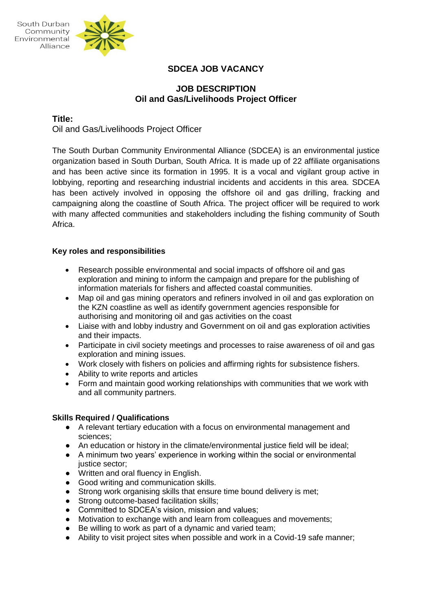



# **SDCEA JOB VACANCY**

## **JOB DESCRIPTION Oil and Gas/Livelihoods Project Officer**

### **Title:**

Oil and Gas/Livelihoods Project Officer

The South Durban Community Environmental Alliance (SDCEA) is an environmental justice organization based in South Durban, South Africa. It is made up of 22 affiliate organisations and has been active since its formation in 1995. It is a vocal and vigilant group active in lobbying, reporting and researching industrial incidents and accidents in this area. SDCEA has been actively involved in opposing the offshore oil and gas drilling, fracking and campaigning along the coastline of South Africa. The project officer will be required to work with many affected communities and stakeholders including the fishing community of South Africa.

#### **Key roles and responsibilities**

- Research possible environmental and social impacts of offshore oil and gas exploration and mining to inform the campaign and prepare for the publishing of information materials for fishers and affected coastal communities.
- Map oil and gas mining operators and refiners involved in oil and gas exploration on the KZN coastline as well as identify government agencies responsible for authorising and monitoring oil and gas activities on the coast
- Liaise with and lobby industry and Government on oil and gas exploration activities and their impacts.
- Participate in civil society meetings and processes to raise awareness of oil and gas exploration and mining issues.
- Work closely with fishers on policies and affirming rights for subsistence fishers.
- Ability to write reports and articles
- Form and maintain good working relationships with communities that we work with and all community partners.

#### **Skills Required / Qualifications**

- A relevant tertiary education with a focus on environmental management and sciences;
- An education or history in the climate/environmental justice field will be ideal;
- A minimum two years' experience in working within the social or environmental justice sector;
- Written and oral fluency in English.
- Good writing and communication skills.
- Strong work organising skills that ensure time bound delivery is met;<br>● Strong outcome-based facilitation skills:
- Strong outcome-based facilitation skills;
- Committed to SDCEA's vision, mission and values:
- Motivation to exchange with and learn from colleagues and movements;
- Be willing to work as part of a dynamic and varied team;
- Ability to visit project sites when possible and work in a Covid-19 safe manner;